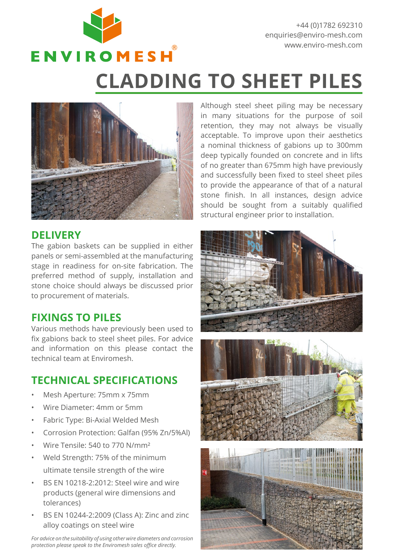

+44 (0)1782 692310 enquiries@enviro-mesh.com www.enviro-mesh.com

# **CLADDING TO SHEET PILES**



### **DELIVERY**

The gabion baskets can be supplied in either panels or semi-assembled at the manufacturing stage in readiness for on-site fabrication. The preferred method of supply, installation and stone choice should always be discussed prior to procurement of materials.

### **FIXINGS TO PILES**

Various methods have previously been used to fix gabions back to steel sheet piles. For advice and information on this please contact the technical team at Enviromesh.

## **TECHNICAL SPECIFICATIONS**

- Mesh Aperture: 75mm x 75mm
- Wire Diameter: 4mm or 5mm
- Fabric Type: Bi-Axial Welded Mesh
- Corrosion Protection: Galfan (95% Zn/5%Al)
- Wire Tensile: 540 to 770 N/mm²
- Weld Strength: 75% of the minimum ultimate tensile strength of the wire
- BS EN 10218-2:2012: Steel wire and wire products (general wire dimensions and tolerances)
- BS EN 10244-2:2009 (Class A): Zinc and zinc alloy coatings on steel wire

*For advice on the suitability of using other wire diameters and corrosion protection please speak to the Enviromesh sales office directly.*

Although steel sheet piling may be necessary in many situations for the purpose of soil retention, they may not always be visually acceptable. To improve upon their aesthetics a nominal thickness of gabions up to 300mm deep typically founded on concrete and in lifts of no greater than 675mm high have previously and successfully been fixed to steel sheet piles to provide the appearance of that of a natural stone finish. In all instances, design advice should be sought from a suitably qualified structural engineer prior to installation.